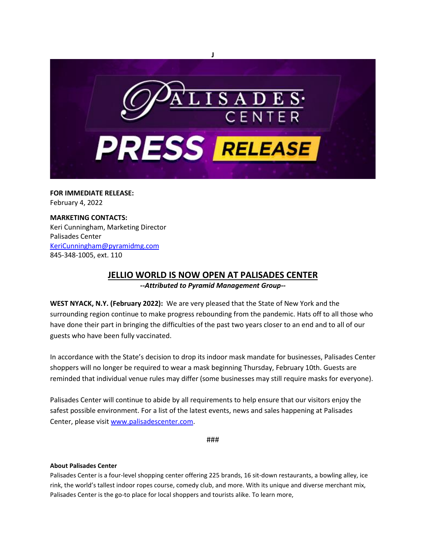

**FOR IMMEDIATE RELEASE:** February 4, 2022

## **MARKETING CONTACTS:** Keri Cunningham, Marketing Director Palisades Center [KeriCunningham@pyramidmg.com](mailto:KeriCunningham@pyramidmg.com) 845-348-1005, ext. 110

## **JELLIO WORLD IS NOW OPEN AT PALISADES CENTER**

*--Attributed to Pyramid Management Group--*

**WEST NYACK, N.Y. (February 2022):** We are very pleased that the State of New York and the surrounding region continue to make progress rebounding from the pandemic. Hats off to all those who have done their part in bringing the difficulties of the past two years closer to an end and to all of our guests who have been fully vaccinated.

In accordance with the State's decision to drop its indoor mask mandate for businesses, Palisades Center shoppers will no longer be required to wear a mask beginning Thursday, February 10th. Guests are reminded that individual venue rules may differ (some businesses may still require masks for everyone).

Palisades Center will continue to abide by all requirements to help ensure that our visitors enjoy the safest possible environment. For a list of the latest events, news and sales happening at Palisades Center, please visit [www.palisadescenter.com.](https://palisadescenter.mailer.kishmish.com/Prod/link-tracker?notrack=1&redirectUrl=aHR0cCUzQSUyRiUyRnd3dy5wYWxpc2FkZXNjZW50ZXIuY29t&sig=E8wDquDDSzbReZabtyHSrAwhhwBx3rwJvotqnW7uNsRD&iat=1644440930&a=%7C%7C999686848%7C%7C&account=palisadescenter%2Eactivehosted%2Ecom&email=4%2Bzb1Fq79BW2IDcgm2DzFfi2K%2BTMTIYfxmoRKtA7aiE%3D&s=bd75dd3a695126abd7a98951652778c6&i=1168A1206A8A32235)

###

## **About Palisades Center**

Palisades Center is a four-level shopping center offering 225 brands, 16 sit-down restaurants, a bowling alley, ice rink, the world's tallest indoor ropes course, comedy club, and more. With its unique and diverse merchant mix, Palisades Center is the go-to place for local shoppers and tourists alike. To learn more,